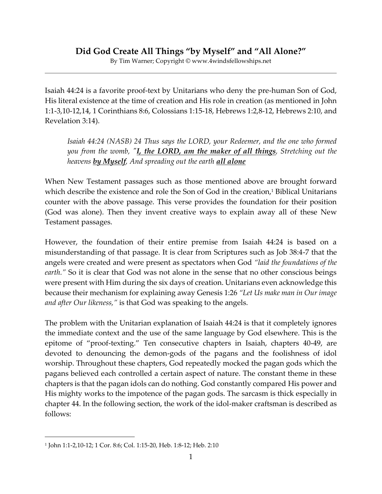## **Did God Create All Things "by Myself" and "All Alone?"**

By Tim Warner; Copyright © www.4windsfellowships.net

Isaiah 44:24 is a favorite proof-text by Unitarians who deny the pre-human Son of God, His literal existence at the time of creation and His role in creation (as mentioned in John 1:1-3,10-12,14, 1 Corinthians 8:6, Colossians 1:15-18, Hebrews 1:2,8-12, Hebrews 2:10, and Revelation 3:14).

*Isaiah 44:24 (NASB) 24 Thus says the LORD, your Redeemer, and the one who formed you from the womb, "I, the LORD, am the maker of all things, Stretching out the heavens by Myself, And spreading out the earth all alone*

When New Testament passages such as those mentioned above are brought forward which describe the existence and role the Son of God in the creation,<sup>1</sup> Biblical Unitarians counter with the above passage. This verse provides the foundation for their position (God was alone). Then they invent creative ways to explain away all of these New Testament passages.

However, the foundation of their entire premise from Isaiah 44:24 is based on a misunderstanding of that passage. It is clear from Scriptures such as Job 38:4-7 that the angels were created and were present as spectators when God *"laid the foundations of the earth."* So it is clear that God was not alone in the sense that no other conscious beings were present with Him during the six days of creation. Unitarians even acknowledge this because their mechanism for explaining away Genesis 1:26 *"Let Us make man in Our image and after Our likeness,"* is that God was speaking to the angels.

The problem with the Unitarian explanation of Isaiah 44:24 is that it completely ignores the immediate context and the use of the same language by God elsewhere. This is the epitome of "proof-texting." Ten consecutive chapters in Isaiah, chapters 40-49, are devoted to denouncing the demon-gods of the pagans and the foolishness of idol worship. Throughout these chapters, God repeatedly mocked the pagan gods which the pagans believed each controlled a certain aspect of nature. The constant theme in these chapters is that the pagan idols can do nothing. God constantly compared His power and His mighty works to the impotence of the pagan gods. The sarcasm is thick especially in chapter 44. In the following section, the work of the idol-maker craftsman is described as follows:

<sup>1</sup> John 1:1-2,10-12; 1 Cor. 8:6; Col. 1:15-20, Heb. 1:8-12; Heb. 2:10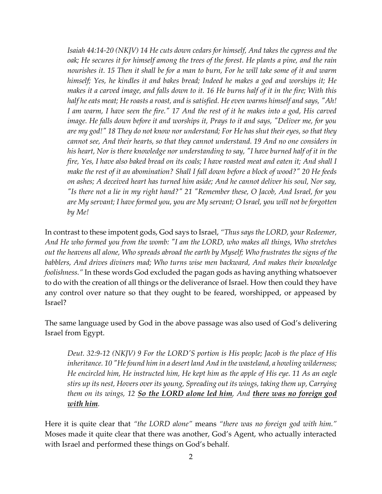*Isaiah 44:14-20 (NKJV) 14 He cuts down cedars for himself, And takes the cypress and the oak; He secures it for himself among the trees of the forest. He plants a pine, and the rain nourishes it. 15 Then it shall be for a man to burn, For he will take some of it and warm himself; Yes, he kindles it and bakes bread; Indeed he makes a god and worships it; He makes it a carved image, and falls down to it. 16 He burns half of it in the fire; With this half he eats meat; He roasts a roast, and is satisfied. He even warms himself and says, "Ah! I am warm, I have seen the fire." 17 And the rest of it he makes into a god, His carved image. He falls down before it and worships it, Prays to it and says, "Deliver me, for you are my god!" 18 They do not know nor understand; For He has shut their eyes, so that they cannot see, And their hearts, so that they cannot understand. 19 And no one considers in his heart, Nor is there knowledge nor understanding to say, "I have burned half of it in the fire, Yes, I have also baked bread on its coals; I have roasted meat and eaten it; And shall I make the rest of it an abomination? Shall I fall down before a block of wood?" 20 He feeds on ashes; A deceived heart has turned him aside; And he cannot deliver his soul, Nor say, "Is there not a lie in my right hand?" 21 "Remember these, O Jacob, And Israel, for you are My servant; I have formed you, you are My servant; O Israel, you will not be forgotten by Me!*

In contrast to these impotent gods, God says to Israel, *"Thus says the LORD, your Redeemer, And He who formed you from the womb: "I am the LORD, who makes all things, Who stretches out the heavens all alone, Who spreads abroad the earth by Myself; Who frustrates the signs of the babblers, And drives diviners mad; Who turns wise men backward, And makes their knowledge foolishness."* In these words God excluded the pagan gods as having anything whatsoever to do with the creation of all things or the deliverance of Israel. How then could they have any control over nature so that they ought to be feared, worshipped, or appeased by Israel?

The same language used by God in the above passage was also used of God's delivering Israel from Egypt.

*Deut. 32:9-12 (NKJV) 9 For the LORD'S portion is His people; Jacob is the place of His inheritance. 10 "He found him in a desert land And in the wasteland, a howling wilderness; He encircled him, He instructed him, He kept him as the apple of His eye. 11 As an eagle stirs up its nest, Hovers over its young, Spreading out its wings, taking them up, Carrying them on its wings, 12 So the LORD alone led him, And there was no foreign god with him.*

Here it is quite clear that *"the LORD alone"* means *"there was no foreign god with him."* Moses made it quite clear that there was another, God's Agent, who actually interacted with Israel and performed these things on God's behalf.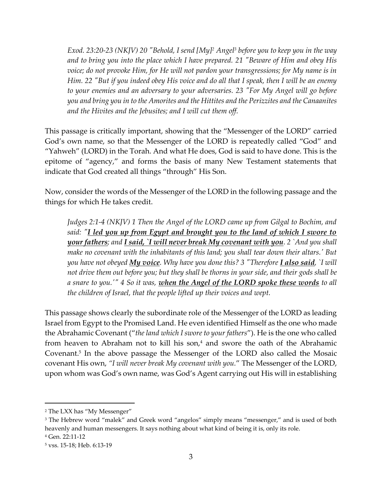*Exod. 23:20-23 (NKJV) 20 "Behold, I send [My]<sup>2</sup> Angel<sup>3</sup> before you to keep you in the way and to bring you into the place which I have prepared. 21 "Beware of Him and obey His voice; do not provoke Him, for He will not pardon your transgressions; for My name is in Him. 22 "But if you indeed obey His voice and do all that I speak, then I will be an enemy to your enemies and an adversary to your adversaries. 23 "For My Angel will go before you and bring you in to the Amorites and the Hittites and the Perizzites and the Canaanites and the Hivites and the Jebusites; and I will cut them off.*

This passage is critically important, showing that the "Messenger of the LORD" carried God's own name, so that the Messenger of the LORD is repeatedly called "God" and "Yahweh" (LORD) in the Torah. And what He does, God is said to have done. This is the epitome of "agency," and forms the basis of many New Testament statements that indicate that God created all things "through" His Son.

Now, consider the words of the Messenger of the LORD in the following passage and the things for which He takes credit.

*Judges 2:1-4 (NKJV) 1 Then the Angel of the LORD came up from Gilgal to Bochim, and said: "I led you up from Egypt and brought you to the land of which I swore to your fathers; and I said, `I will never break My covenant with you. 2 `And you shall make no covenant with the inhabitants of this land; you shall tear down their altars.' But you have not obeyed My voice. Why have you done this? 3 "Therefore I also said, `I will not drive them out before you; but they shall be thorns in your side, and their gods shall be a snare to you.'" 4 So it was, when the Angel of the LORD spoke these words to all the children of Israel, that the people lifted up their voices and wept.*

This passage shows clearly the subordinate role of the Messenger of the LORD as leading Israel from Egypt to the Promised Land. He even identified Himself as the one who made the Abrahamic Covenant ("*the land which I swore to your fathers*"). He is the one who called from heaven to Abraham not to kill his  $son<sub>1</sub><sup>4</sup>$  and swore the oath of the Abrahamic Covenant.<sup>5</sup> In the above passage the Messenger of the LORD also called the Mosaic covenant His own, *"I will never break My covenant with you.*" The Messenger of the LORD, upon whom was God's own name, was God's Agent carrying out His will in establishing

<sup>2</sup> The LXX has "My Messenger"

<sup>&</sup>lt;sup>3</sup> The Hebrew word "malek" and Greek word "angelos" simply means "messenger," and is used of both heavenly and human messengers. It says nothing about what kind of being it is, only its role.

<sup>4</sup> Gen. 22:11-12

<sup>5</sup> vss. 15-18; Heb. 6:13-19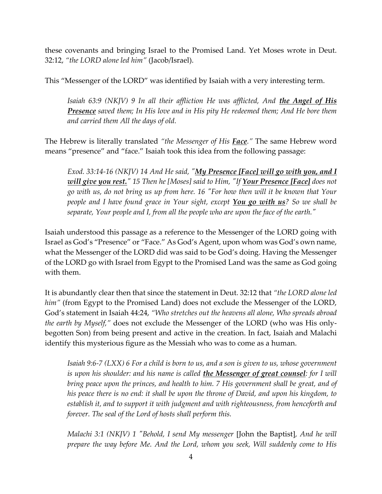these covenants and bringing Israel to the Promised Land. Yet Moses wrote in Deut. 32:12, *"the LORD alone led him"* (Jacob/Israel).

This "Messenger of the LORD" was identified by Isaiah with a very interesting term.

*Isaiah 63:9 (NKJV) 9 In all their affliction He was afflicted, And the Angel of His Presence saved them; In His love and in His pity He redeemed them; And He bore them and carried them All the days of old.*

The Hebrew is literally translated *"the Messenger of His Face."* The same Hebrew word means "presence" and "face." Isaiah took this idea from the following passage:

*Exod. 33:14-16 (NKJV) 14 And He said, "My Presence [Face] will go with you, and I will give you rest." 15 Then he [Moses] said to Him, "If Your Presence [Face] does not go with us, do not bring us up from here. 16 "For how then will it be known that Your people and I have found grace in Your sight, except You go with us? So we shall be separate, Your people and I, from all the people who are upon the face of the earth."* 

Isaiah understood this passage as a reference to the Messenger of the LORD going with Israel as God's "Presence" or "Face." As God's Agent, upon whom was God's own name, what the Messenger of the LORD did was said to be God's doing. Having the Messenger of the LORD go with Israel from Egypt to the Promised Land was the same as God going with them.

It is abundantly clear then that since the statement in Deut. 32:12 that *"the LORD alone led him"* (from Egypt to the Promised Land) does not exclude the Messenger of the LORD, God's statement in Isaiah 44:24, *"Who stretches out the heavens all alone, Who spreads abroad the earth by Myself,"* does not exclude the Messenger of the LORD (who was His onlybegotten Son) from being present and active in the creation. In fact, Isaiah and Malachi identify this mysterious figure as the Messiah who was to come as a human.

*Isaiah 9:6-7 (LXX) 6 For a child is born to us, and a son is given to us, whose government is upon his shoulder: and his name is called the Messenger of great counsel: for I will bring peace upon the princes, and health to him. 7 His government shall be great, and of his peace there is no end: it shall be upon the throne of David, and upon his kingdom, to establish it, and to support it with judgment and with righteousness, from henceforth and forever. The seal of the Lord of hosts shall perform this.*

*Malachi 3:1 (NKJV) 1 "Behold, I send My messenger* [John the Baptist]*, And he will prepare the way before Me. And the Lord, whom you seek, Will suddenly come to His*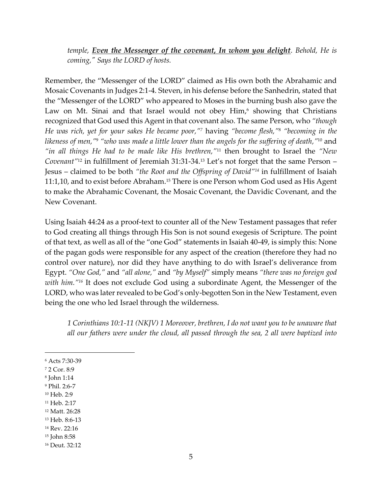*temple, Even the Messenger of the covenant, In whom you delight. Behold, He is coming," Says the LORD of hosts.*

Remember, the "Messenger of the LORD" claimed as His own both the Abrahamic and Mosaic Covenants in Judges 2:1-4. Steven, in his defense before the Sanhedrin, stated that the "Messenger of the LORD" who appeared to Moses in the burning bush also gave the Law on Mt. Sinai and that Israel would not obey Him, <sup>6</sup> showing that Christians recognized that God used this Agent in that covenant also. The same Person, who *"though He was rich, yet for your sakes He became poor,"<sup>7</sup>* having *"become flesh,"* <sup>8</sup> *"becoming in the likeness of men,"* <sup>9</sup> *"who was made a little lower than the angels for the suffering of death,"* <sup>10</sup> and *"in all things He had to be made like His brethren,"*<sup>11</sup> then brought to Israel the *"New Covenant"*<sup>12</sup> in fulfillment of Jeremiah 31:31-34. <sup>13</sup> Let's not forget that the same Person – Jesus – claimed to be both *"the Root and the Offspring of David"<sup>14</sup>* in fulfillment of Isaiah 11:1,10, and to exist before Abraham. <sup>15</sup> There is one Person whom God used as His Agent to make the Abrahamic Covenant, the Mosaic Covenant, the Davidic Covenant, and the New Covenant.

Using Isaiah 44:24 as a proof-text to counter all of the New Testament passages that refer to God creating all things through His Son is not sound exegesis of Scripture. The point of that text, as well as all of the "one God" statements in Isaiah 40-49, is simply this: None of the pagan gods were responsible for any aspect of the creation (therefore they had no control over nature), nor did they have anything to do with Israel's deliverance from Egypt. *"One God,"* and *"all alone,"* and *"by Myself"* simply means *"there was no foreign god with him."<sup>16</sup>* It does not exclude God using a subordinate Agent, the Messenger of the LORD, who was later revealed to be God's only-begotten Son in the New Testament, even being the one who led Israel through the wilderness.

*1 Corinthians 10:1-11 (NKJV) 1 Moreover, brethren, I do not want you to be unaware that all our fathers were under the cloud, all passed through the sea, 2 all were baptized into* 

<sup>6</sup> Acts 7:30-39

<sup>7</sup> 2 Cor. 8:9

<sup>8</sup> John 1:14

<sup>9</sup> Phil. 2:6-7

<sup>10</sup> Heb. 2:9

<sup>11</sup> Heb. 2:17

<sup>12</sup> Matt. 26:28

<sup>13</sup> Heb. 8:6-13

<sup>14</sup> Rev. 22:16

<sup>15</sup> John 8:58

<sup>16</sup> Deut. 32:12